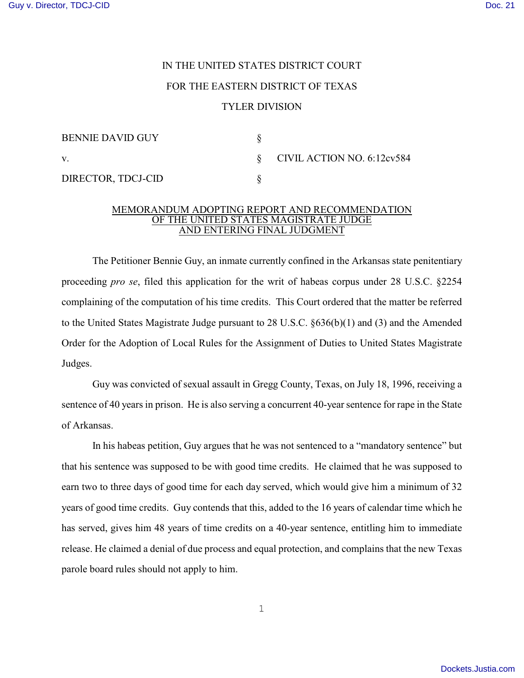## IN THE UNITED STATES DISTRICT COURT FOR THE EASTERN DISTRICT OF TEXAS TYLER DIVISION

| <b>BENNIE DAVID GUY</b> |                                 |
|-------------------------|---------------------------------|
| V.                      | $\S$ CIVIL ACTION NO. 6:12cv584 |
| DIRECTOR, TDCJ-CID      |                                 |

## MEMORANDUM ADOPTING REPORT AND RECOMMENDATION OF THE UNITED STATES MAGISTRATE JUDGE AND ENTERING FINAL JUDGMENT

The Petitioner Bennie Guy, an inmate currently confined in the Arkansas state penitentiary proceeding *pro se*, filed this application for the writ of habeas corpus under 28 U.S.C. §2254 complaining of the computation of his time credits. This Court ordered that the matter be referred to the United States Magistrate Judge pursuant to 28 U.S.C. §636(b)(1) and (3) and the Amended Order for the Adoption of Local Rules for the Assignment of Duties to United States Magistrate Judges.

Guy was convicted of sexual assault in Gregg County, Texas, on July 18, 1996, receiving a sentence of 40 years in prison. He is also serving a concurrent 40-year sentence for rape in the State of Arkansas.

In his habeas petition, Guy argues that he was not sentenced to a "mandatory sentence" but that his sentence was supposed to be with good time credits. He claimed that he was supposed to earn two to three days of good time for each day served, which would give him a minimum of 32 years of good time credits. Guy contends that this, added to the 16 years of calendar time which he has served, gives him 48 years of time credits on a 40-year sentence, entitling him to immediate release. He claimed a denial of due process and equal protection, and complains that the new Texas parole board rules should not apply to him.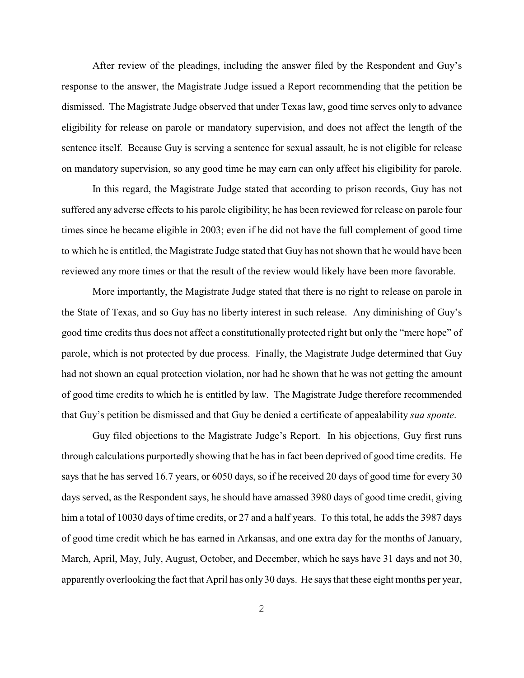After review of the pleadings, including the answer filed by the Respondent and Guy's response to the answer, the Magistrate Judge issued a Report recommending that the petition be dismissed. The Magistrate Judge observed that under Texas law, good time serves only to advance eligibility for release on parole or mandatory supervision, and does not affect the length of the sentence itself. Because Guy is serving a sentence for sexual assault, he is not eligible for release on mandatory supervision, so any good time he may earn can only affect his eligibility for parole.

In this regard, the Magistrate Judge stated that according to prison records, Guy has not suffered any adverse effects to his parole eligibility; he has been reviewed for release on parole four times since he became eligible in 2003; even if he did not have the full complement of good time to which he is entitled, the Magistrate Judge stated that Guy has not shown that he would have been reviewed any more times or that the result of the review would likely have been more favorable.

More importantly, the Magistrate Judge stated that there is no right to release on parole in the State of Texas, and so Guy has no liberty interest in such release. Any diminishing of Guy's good time credits thus does not affect a constitutionally protected right but only the "mere hope" of parole, which is not protected by due process. Finally, the Magistrate Judge determined that Guy had not shown an equal protection violation, nor had he shown that he was not getting the amount of good time credits to which he is entitled by law. The Magistrate Judge therefore recommended that Guy's petition be dismissed and that Guy be denied a certificate of appealability *sua sponte*.

Guy filed objections to the Magistrate Judge's Report. In his objections, Guy first runs through calculations purportedly showing that he has in fact been deprived of good time credits. He says that he has served 16.7 years, or 6050 days, so if he received 20 days of good time for every 30 days served, as the Respondent says, he should have amassed 3980 days of good time credit, giving him a total of 10030 days of time credits, or 27 and a half years. To this total, he adds the 3987 days of good time credit which he has earned in Arkansas, and one extra day for the months of January, March, April, May, July, August, October, and December, which he says have 31 days and not 30, apparently overlooking the fact that April has only 30 days. He says that these eight months per year,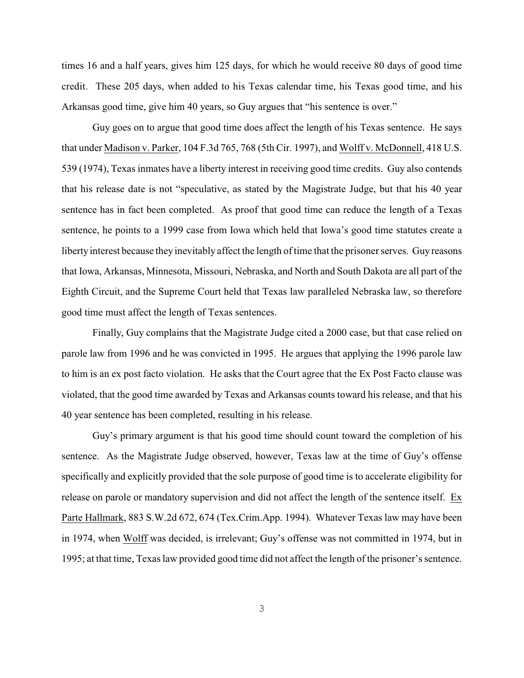times 16 and a half years, gives him 125 days, for which he would receive 80 days of good time credit. These 205 days, when added to his Texas calendar time, his Texas good time, and his Arkansas good time, give him 40 years, so Guy argues that "his sentence is over."

Guy goes on to argue that good time does affect the length of his Texas sentence. He says that under Madison v. Parker, 104 F.3d 765, 768 (5th Cir. 1997), and Wolff v. McDonnell, 418 U.S. 539 (1974), Texas inmates have a liberty interest in receiving good time credits. Guy also contends that his release date is not "speculative, as stated by the Magistrate Judge, but that his 40 year sentence has in fact been completed. As proof that good time can reduce the length of a Texas sentence, he points to a 1999 case from Iowa which held that Iowa's good time statutes create a liberty interest because they inevitably affect the length of time that the prisoner serves. Guy reasons that Iowa, Arkansas, Minnesota, Missouri, Nebraska, and North and South Dakota are all part of the Eighth Circuit, and the Supreme Court held that Texas law paralleled Nebraska law, so therefore good time must affect the length of Texas sentences.

Finally, Guy complains that the Magistrate Judge cited a 2000 case, but that case relied on parole law from 1996 and he was convicted in 1995. He argues that applying the 1996 parole law to him is an ex post facto violation. He asks that the Court agree that the Ex Post Facto clause was violated, that the good time awarded by Texas and Arkansas counts toward his release, and that his 40 year sentence has been completed, resulting in his release.

Guy's primary argument is that his good time should count toward the completion of his sentence. As the Magistrate Judge observed, however, Texas law at the time of Guy's offense specifically and explicitly provided that the sole purpose of good time is to accelerate eligibility for release on parole or mandatory supervision and did not affect the length of the sentence itself. Ex Parte Hallmark, 883 S.W.2d 672, 674 (Tex.Crim.App. 1994). Whatever Texas law may have been in 1974, when Wolff was decided, is irrelevant; Guy's offense was not committed in 1974, but in 1995; at that time, Texas law provided good time did not affect the length of the prisoner's sentence.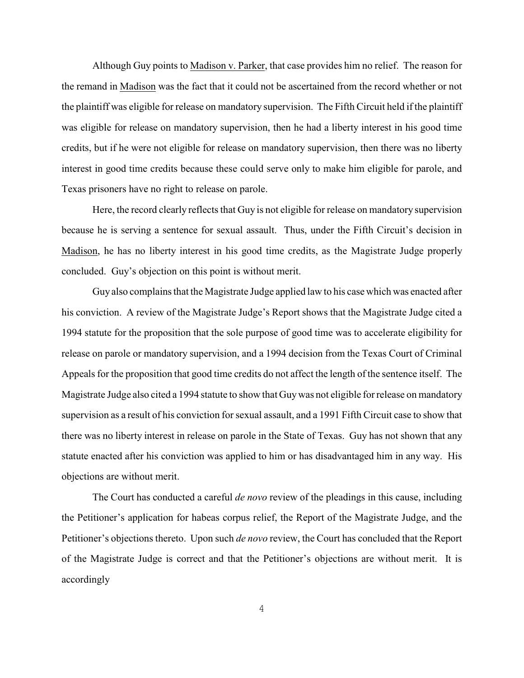Although Guy points to Madison v. Parker, that case provides him no relief. The reason for the remand in Madison was the fact that it could not be ascertained from the record whether or not the plaintiff was eligible for release on mandatory supervision. The Fifth Circuit held if the plaintiff was eligible for release on mandatory supervision, then he had a liberty interest in his good time credits, but if he were not eligible for release on mandatory supervision, then there was no liberty interest in good time credits because these could serve only to make him eligible for parole, and Texas prisoners have no right to release on parole.

Here, the record clearly reflects that Guy is not eligible for release on mandatory supervision because he is serving a sentence for sexual assault. Thus, under the Fifth Circuit's decision in Madison, he has no liberty interest in his good time credits, as the Magistrate Judge properly concluded. Guy's objection on this point is without merit.

Guy also complains that the Magistrate Judge applied law to his case which was enacted after his conviction. A review of the Magistrate Judge's Report shows that the Magistrate Judge cited a 1994 statute for the proposition that the sole purpose of good time was to accelerate eligibility for release on parole or mandatory supervision, and a 1994 decision from the Texas Court of Criminal Appeals for the proposition that good time credits do not affect the length of the sentence itself. The Magistrate Judge also cited a 1994 statute to show that Guywas not eligible for release on mandatory supervision as a result of his conviction for sexual assault, and a 1991 Fifth Circuit case to show that there was no liberty interest in release on parole in the State of Texas. Guy has not shown that any statute enacted after his conviction was applied to him or has disadvantaged him in any way. His objections are without merit.

The Court has conducted a careful *de novo* review of the pleadings in this cause, including the Petitioner's application for habeas corpus relief, the Report of the Magistrate Judge, and the Petitioner's objections thereto. Upon such *de novo* review, the Court has concluded that the Report of the Magistrate Judge is correct and that the Petitioner's objections are without merit. It is accordingly